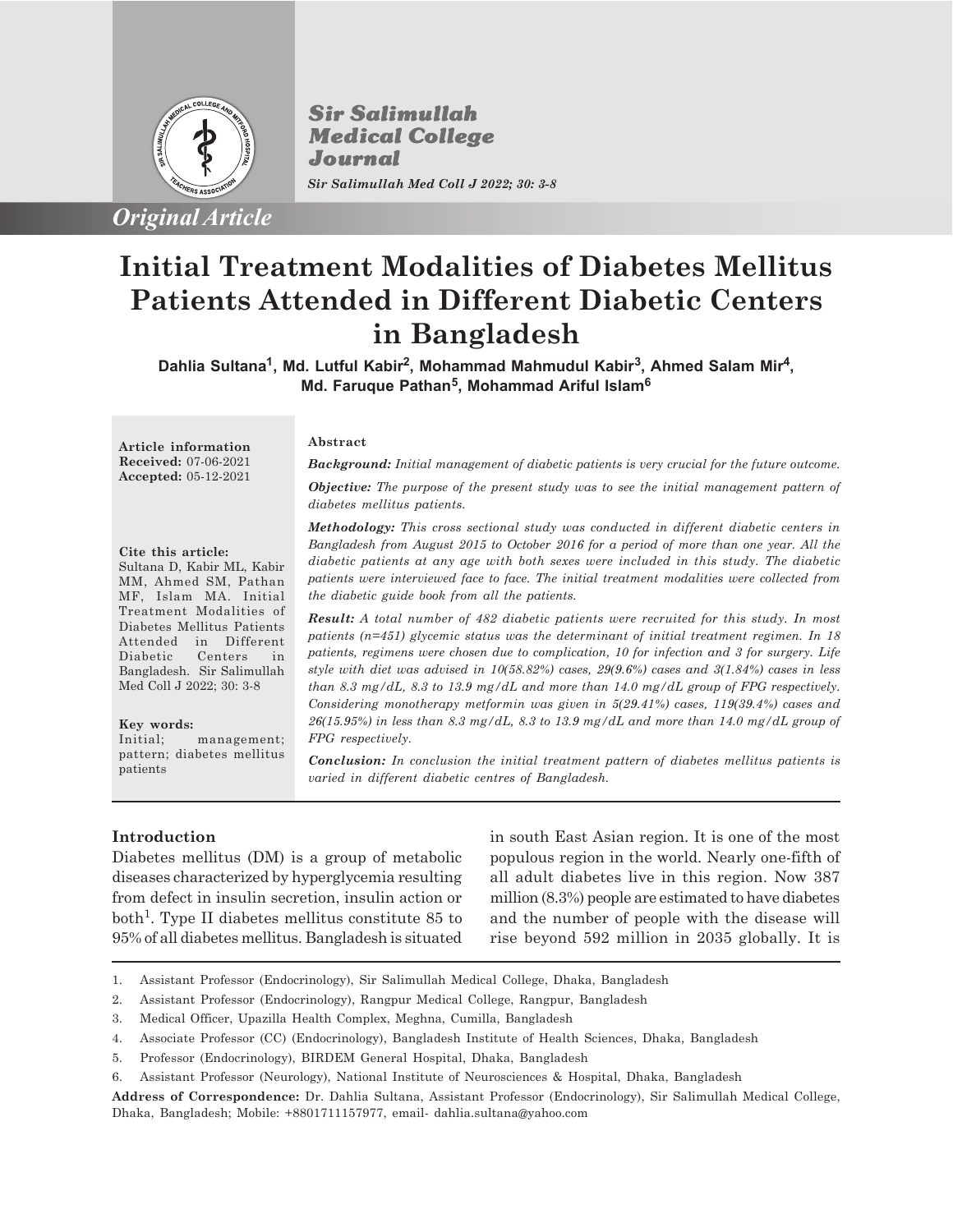

*Original Article*

**Sir Salimullah Medical College** Journal *Sir Salimullah Med Coll J 2022; 30: 3-8*

# **Initial Treatment Modalities of Diabetes Mellitus Patients Attended in Different Diabetic Centers in Bangladesh**

Dahlia Sultana<sup>1</sup>, Md. Lutful Kabir<sup>2</sup>, Mohammad Mahmudul Kabir<sup>3</sup>, Ahmed Salam Mir<sup>4</sup>, **Md. Faruque Pathan<sup>5</sup> , Mohammad Ariful Islam<sup>6</sup>**

**Article information Received:** 07-06-2021 **Accepted:** 05-12-2021

#### **Cite this article:**

Sultana D, Kabir ML, Kabir MM, Ahmed SM, Pathan MF, Islam MA. Initial Treatment Modalities of Diabetes Mellitus Patients Attended in Different Diabetic Centers in Bangladesh. Sir Salimullah Med Coll J 2022; 30: 3-8

#### **Key words:**

Initial; management; pattern; diabetes mellitus patients

#### **Abstract**

*Background: Initial management of diabetic patients is very crucial for the future outcome.*

*Objective: The purpose of the present study was to see the initial management pattern of diabetes mellitus patients.*

*Methodology: This cross sectional study was conducted in different diabetic centers in Bangladesh from August 2015 to October 2016 for a period of more than one year. All the diabetic patients at any age with both sexes were included in this study. The diabetic patients were interviewed face to face. The initial treatment modalities were collected from the diabetic guide book from all the patients.*

*Result: A total number of 482 diabetic patients were recruited for this study. In most patients (n=451) glycemic status was the determinant of initial treatment regimen. In 18 patients, regimens were chosen due to complication, 10 for infection and 3 for surgery. Life style with diet was advised in 10(58.82%) cases, 29(9.6%) cases and 3(1.84%) cases in less than 8.3 mg/dL, 8.3 to 13.9 mg/dL and more than 14.0 mg/dL group of FPG respectively. Considering monotherapy metformin was given in 5(29.41%) cases, 119(39.4%) cases and 26(15.95%) in less than 8.3 mg/dL, 8.3 to 13.9 mg/dL and more than 14.0 mg/dL group of FPG respectively.*

*Conclusion: In conclusion the initial treatment pattern of diabetes mellitus patients is varied in different diabetic centres of Bangladesh.*

# **Introduction**

Diabetes mellitus (DM) is a group of metabolic diseases characterized by hyperglycemia resulting from defect in insulin secretion, insulin action or both<sup>1</sup>. Type II diabetes mellitus constitute 85 to 95% of all diabetes mellitus. Bangladesh is situated in south East Asian region. It is one of the most populous region in the world. Nearly one-fifth of all adult diabetes live in this region. Now 387 million (8.3%) people are estimated to have diabetes and the number of people with the disease will rise beyond 592 million in 2035 globally. It is

- 1. Assistant Professor (Endocrinology), Sir Salimullah Medical College, Dhaka, Bangladesh
- 2. Assistant Professor (Endocrinology), Rangpur Medical College, Rangpur, Bangladesh
- 3. Medical Officer, Upazilla Health Complex, Meghna, Cumilla, Bangladesh
- 4. Associate Professor (CC) (Endocrinology), Bangladesh Institute of Health Sciences, Dhaka, Bangladesh
- 5. Professor (Endocrinology), BIRDEM General Hospital, Dhaka, Bangladesh
- 6. Assistant Professor (Neurology), National Institute of Neurosciences & Hospital, Dhaka, Bangladesh

**Address of Correspondence:** Dr. Dahlia Sultana, Assistant Professor (Endocrinology), Sir Salimullah Medical College, Dhaka, Bangladesh; Mobile: +8801711157977, email- dahlia.sultana@yahoo.com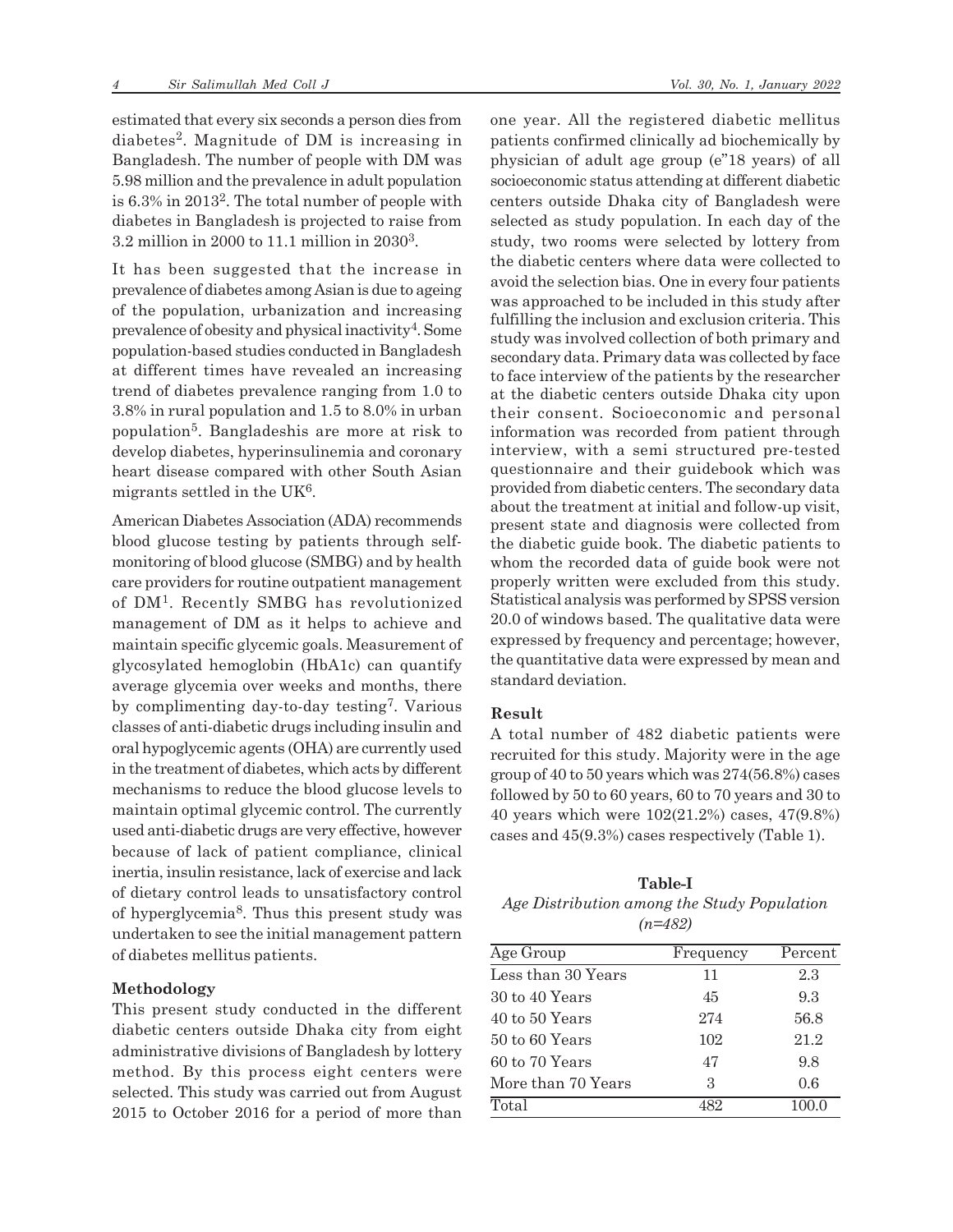estimated that every six seconds a person dies from diabetes<sup>2</sup> . Magnitude of DM is increasing in Bangladesh. The number of people with DM was 5.98 million and the prevalence in adult population is 6.3% in 2013<sup>2</sup>. The total number of people with diabetes in Bangladesh is projected to raise from 3.2 million in 2000 to 11.1 million in 2030<sup>3</sup> .

It has been suggested that the increase in prevalence of diabetes among Asian is due to ageing of the population, urbanization and increasing prevalence of obesity and physical inactivity<sup>4</sup>. Some population-based studies conducted in Bangladesh at different times have revealed an increasing trend of diabetes prevalence ranging from 1.0 to 3.8% in rural population and 1.5 to 8.0% in urban population<sup>5</sup>. Bangladeshis are more at risk to develop diabetes, hyperinsulinemia and coronary heart disease compared with other South Asian migrants settled in the UK<sup>6</sup>.

American Diabetes Association (ADA) recommends blood glucose testing by patients through selfmonitoring of blood glucose (SMBG) and by health care providers for routine outpatient management of DM<sup>1</sup> . Recently SMBG has revolutionized management of DM as it helps to achieve and maintain specific glycemic goals. Measurement of glycosylated hemoglobin (HbA1c) can quantify average glycemia over weeks and months, there by complimenting day-to-day testing<sup>7</sup>. Various classes of anti-diabetic drugs including insulin and oral hypoglycemic agents (OHA) are currently used in the treatment of diabetes, which acts by different mechanisms to reduce the blood glucose levels to maintain optimal glycemic control. The currently used anti-diabetic drugs are very effective, however because of lack of patient compliance, clinical inertia, insulin resistance, lack of exercise and lack of dietary control leads to unsatisfactory control of hyperglycemia<sup>8</sup>. Thus this present study was undertaken to see the initial management pattern of diabetes mellitus patients.

## **Methodology**

This present study conducted in the different diabetic centers outside Dhaka city from eight administrative divisions of Bangladesh by lottery method. By this process eight centers were selected. This study was carried out from August 2015 to October 2016 for a period of more than one year. All the registered diabetic mellitus patients confirmed clinically ad biochemically by physician of adult age group (e"18 years) of all socioeconomic status attending at different diabetic centers outside Dhaka city of Bangladesh were selected as study population. In each day of the study, two rooms were selected by lottery from the diabetic centers where data were collected to avoid the selection bias. One in every four patients was approached to be included in this study after fulfilling the inclusion and exclusion criteria. This study was involved collection of both primary and secondary data. Primary data was collected by face to face interview of the patients by the researcher at the diabetic centers outside Dhaka city upon their consent. Socioeconomic and personal information was recorded from patient through interview, with a semi structured pre-tested questionnaire and their guidebook which was provided from diabetic centers. The secondary data about the treatment at initial and follow-up visit, present state and diagnosis were collected from the diabetic guide book. The diabetic patients to whom the recorded data of guide book were not properly written were excluded from this study. Statistical analysis was performed by SPSS version 20.0 of windows based. The qualitative data were expressed by frequency and percentage; however, the quantitative data were expressed by mean and standard deviation.

## **Result**

A total number of 482 diabetic patients were recruited for this study. Majority were in the age group of 40 to 50 years which was 274(56.8%) cases followed by 50 to 60 years, 60 to 70 years and 30 to 40 years which were 102(21.2%) cases, 47(9.8%) cases and 45(9.3%) cases respectively (Table 1).

# **Table-I** *Age Distribution among the Study Population (n=482)*

| Age Group          | Frequency                   | Percent |
|--------------------|-----------------------------|---------|
| Less than 30 Years | 11                          | 2.3     |
| 30 to 40 Years     | 45                          | 9.3     |
| 40 to 50 Years     | 274                         | 56.8    |
| 50 to 60 Years     | 102                         | 21.2    |
| 60 to 70 Years     | 47                          | 9.8     |
| More than 70 Years | $\mathcal{S}_{\mathcal{S}}$ | 0.6     |
| Total              | 489                         | 100.0   |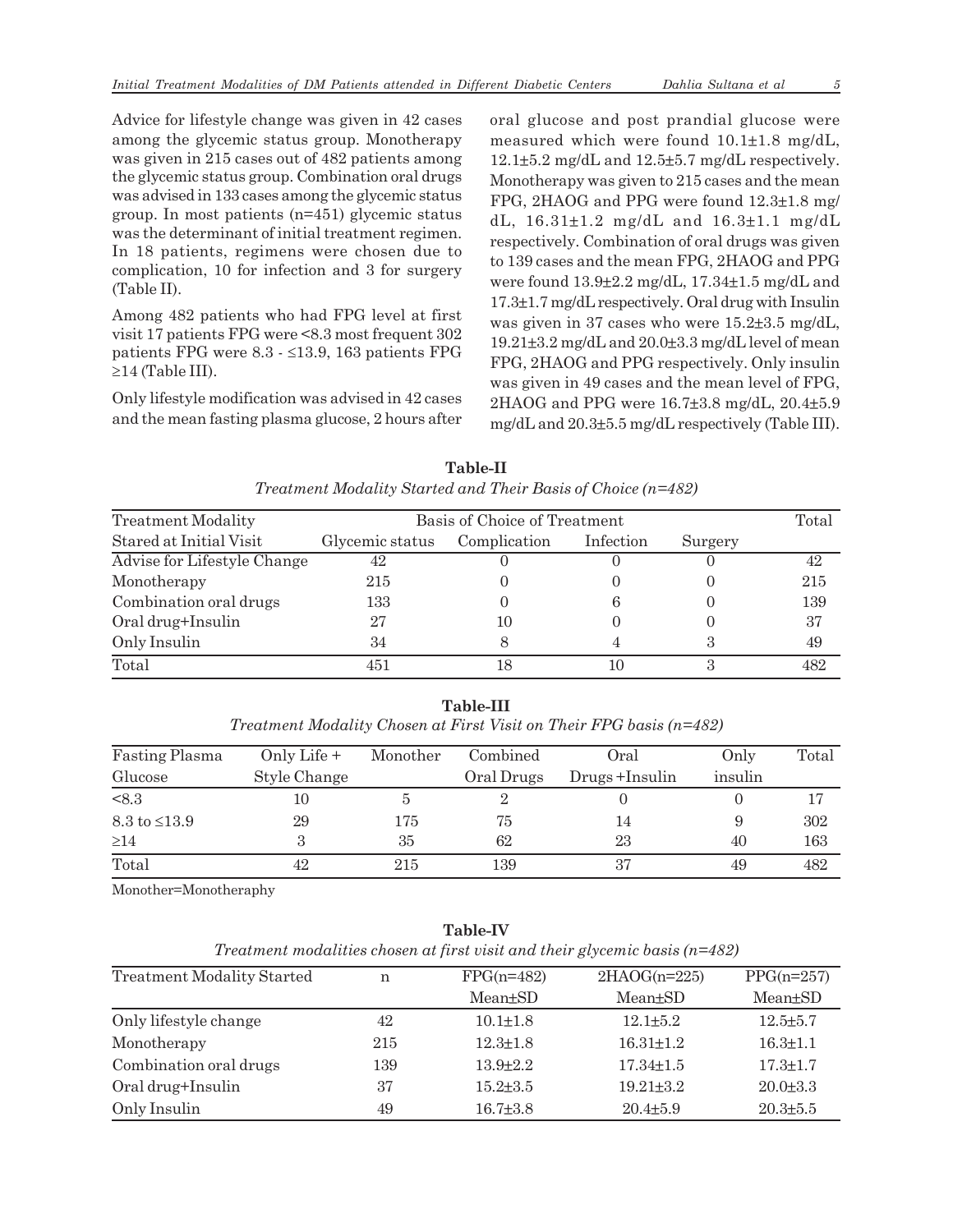Advice for lifestyle change was given in 42 cases among the glycemic status group. Monotherapy was given in 215 cases out of 482 patients among the glycemic status group. Combination oral drugs was advised in 133 cases among the glycemic status group. In most patients (n=451) glycemic status was the determinant of initial treatment regimen. In 18 patients, regimens were chosen due to complication, 10 for infection and 3 for surgery (Table II).

Among 482 patients who had FPG level at first visit 17 patients FPG were <8.3 most frequent 302 patients FPG were  $8.3 - \leq 13.9$ , 163 patients FPG  $\geq$ 14 (Table III).

Only lifestyle modification was advised in 42 cases and the mean fasting plasma glucose, 2 hours after oral glucose and post prandial glucose were measured which were found 10.1±1.8 mg/dL, 12.1±5.2 mg/dL and 12.5±5.7 mg/dL respectively. Monotherapy was given to 215 cases and the mean FPG, 2HAOG and PPG were found 12.3±1.8 mg/ dL, 16.31±1.2 mg/dL and 16.3±1.1 mg/dL respectively. Combination of oral drugs was given to 139 cases and the mean FPG, 2HAOG and PPG were found 13.9±2.2 mg/dL, 17.34±1.5 mg/dL and 17.3±1.7 mg/dL respectively. Oral drug with Insulin was given in 37 cases who were 15.2±3.5 mg/dL, 19.21±3.2 mg/dL and 20.0±3.3 mg/dL level of mean FPG, 2HAOG and PPG respectively. Only insulin was given in 49 cases and the mean level of FPG, 2HAOG and PPG were 16.7±3.8 mg/dL, 20.4±5.9 mg/dL and 20.3±5.5 mg/dL respectively (Table III).

**Table-II** *Treatment Modality Started and Their Basis of Choice (n=482)*

| <b>Treatment Modality</b>   |                 | Basis of Choice of Treatment |           |         |     |  |
|-----------------------------|-----------------|------------------------------|-----------|---------|-----|--|
| Stared at Initial Visit     | Glycemic status | Complication                 | Infection | Surgery |     |  |
| Advise for Lifestyle Change | 42              |                              |           |         | 42  |  |
| Monotherapy                 | 215             |                              |           |         | 215 |  |
| Combination oral drugs      | 133             |                              |           |         | 139 |  |
| Oral drug+Insulin           | 27              | 10                           |           |         | 37  |  |
| Only Insulin                | 34              | 8                            |           |         | 49  |  |
| Total                       | 451             | 18                           | 10        |         | 482 |  |

| sulin |                                                                       |           |  |  |
|-------|-----------------------------------------------------------------------|-----------|--|--|
|       | 451                                                                   |           |  |  |
|       | Treatment Modality Chosen at First Visit on Their FPG basis $(n=482)$ | Table-III |  |  |

| <b>Fasting Plasma</b>       | Only Life +  | Monother | Combined   | Oral          | Only    | Total |
|-----------------------------|--------------|----------|------------|---------------|---------|-------|
| Glucose                     | Style Change |          | Oral Drugs | Drugs+Insulin | insulin |       |
| < 8.3                       | 10           | Ð        |            |               |         |       |
| $8.3 \text{ to } \leq 13.9$ | 29           | 175      | 75         | 14            |         | 302   |
| $\geq$ 14                   |              | 35       | 62         | 23            | 40      | 163   |
| Total                       | 42           | 215      | 139        | 37            | 49      | 482   |

Monother=Monotheraphy

**Table-IV**

| <b>Treatment Modality Started</b> | n   | $FPG(n=482)$   | $2HAOG(n=225)$  | $PPG(n=257)$         |
|-----------------------------------|-----|----------------|-----------------|----------------------|
|                                   |     | $Mean \pm SD$  | Mean+SD         | Mean <sup>+</sup> SD |
| Only lifestyle change             | 42  | $10.1 + 1.8$   | $12.1 + 5.2$    | $12.5 \pm 5.7$       |
| Monotherapy                       | 215 | $12.3 + 1.8$   | $16.31 + 1.2$   | $16.3 \pm 1.1$       |
| Combination oral drugs            | 139 | $13.9 + 2.2$   | $17.34 \pm 1.5$ | $17.3 \pm 1.7$       |
| Oral drug+Insulin                 | 37  | $15.2 + 3.5$   | $19.21 + 3.2$   | $20.0 \pm 3.3$       |
| Only Insulin                      | 49  | $16.7{\pm}3.8$ | $20.4{\pm}5.9$  | $20.3 \pm 5.5$       |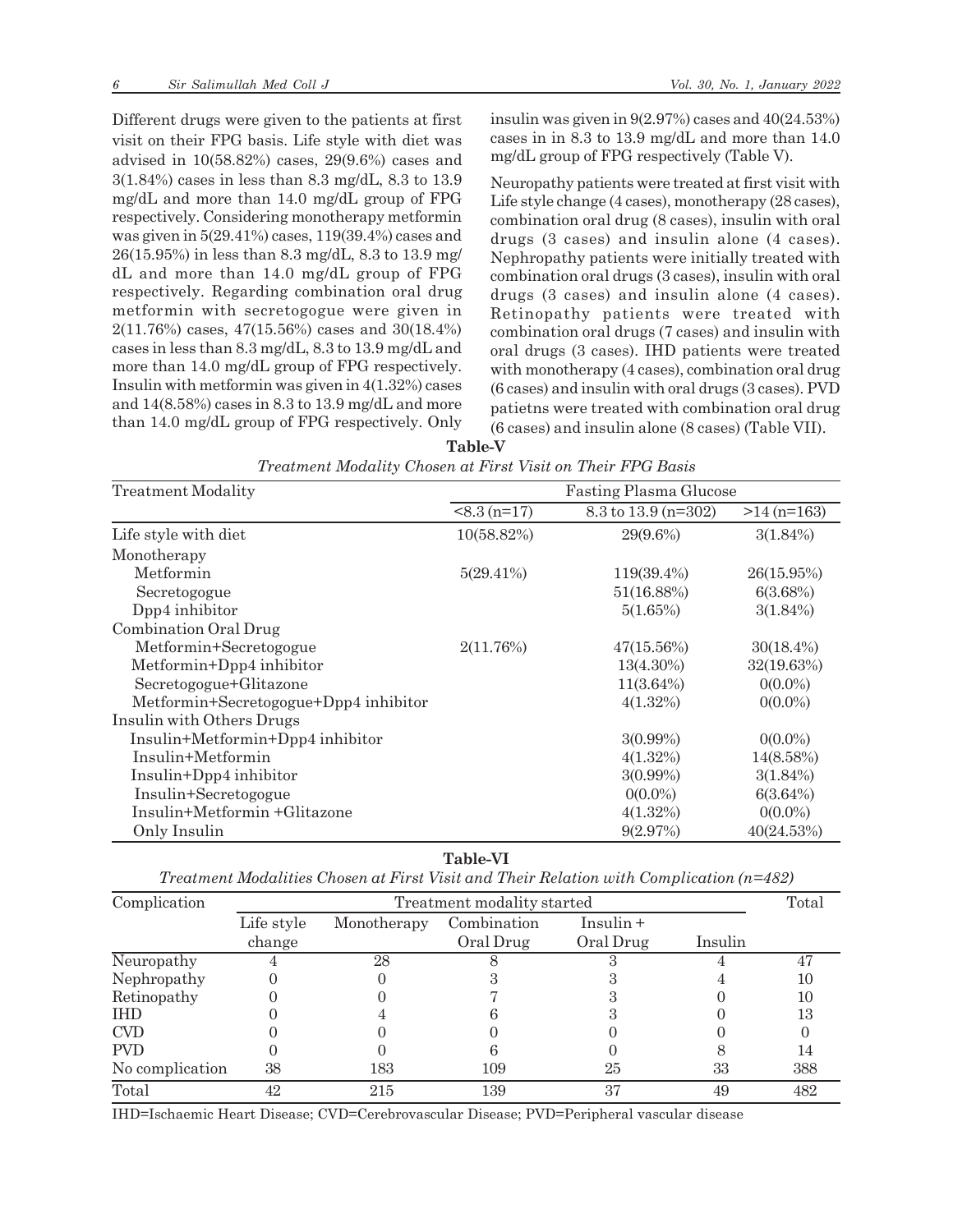Different drugs were given to the patients at first visit on their FPG basis. Life style with diet was advised in 10(58.82%) cases, 29(9.6%) cases and 3(1.84%) cases in less than 8.3 mg/dL, 8.3 to 13.9 mg/dL and more than 14.0 mg/dL group of FPG respectively. Considering monotherapy metformin was given in 5(29.41%) cases, 119(39.4%) cases and 26(15.95%) in less than 8.3 mg/dL, 8.3 to 13.9 mg/ dL and more than 14.0 mg/dL group of FPG respectively. Regarding combination oral drug metformin with secretogogue were given in 2(11.76%) cases, 47(15.56%) cases and 30(18.4%) cases in less than 8.3 mg/dL, 8.3 to 13.9 mg/dL and more than 14.0 mg/dL group of FPG respectively. Insulin with metformin was given in 4(1.32%) cases and 14(8.58%) cases in 8.3 to 13.9 mg/dL and more than 14.0 mg/dL group of FPG respectively. Only insulin was given in 9(2.97%) cases and 40(24.53%) cases in in 8.3 to 13.9 mg/dL and more than 14.0 mg/dL group of FPG respectively (Table V).

Neuropathy patients were treated at first visit with Life style change (4 cases), monotherapy (28 cases), combination oral drug (8 cases), insulin with oral drugs (3 cases) and insulin alone (4 cases). Nephropathy patients were initially treated with combination oral drugs (3 cases), insulin with oral drugs (3 cases) and insulin alone (4 cases). Retinopathy patients were treated with combination oral drugs (7 cases) and insulin with oral drugs (3 cases). IHD patients were treated with monotherapy (4 cases), combination oral drug (6 cases) and insulin with oral drugs (3 cases). PVD patietns were treated with combination oral drug (6 cases) and insulin alone (8 cases) (Table VII).

**Table-V**

| <b>Treatment Modality</b>             | <b>Fasting Plasma Glucose</b> |                     |               |  |
|---------------------------------------|-------------------------------|---------------------|---------------|--|
|                                       | $< 8.3 (n=17)$                | 8.3 to 13.9 (n=302) | $>14$ (n=163) |  |
| Life style with diet                  | 10(58.82%)                    | 29(9.6%)            | $3(1.84\%)$   |  |
| Monotherapy                           |                               |                     |               |  |
| Metformin                             | $5(29.41\%)$                  | 119(39.4%)          | 26(15.95%)    |  |
| Secretogogue                          |                               | 51(16.88%)          | 6(3.68%)      |  |
| Dpp4 inhibitor                        |                               | 5(1.65%)            | $3(1.84\%)$   |  |
| Combination Oral Drug                 |                               |                     |               |  |
| Metformin+Secretogogue                | 2(11.76%)                     | $47(15.56\%)$       | $30(18.4\%)$  |  |
| Metformin+Dpp4 inhibitor              |                               | $13(4.30\%)$        | 32(19.63%)    |  |
| Secretogogue+Glitazone                |                               | $11(3.64\%)$        | $0(0.0\%)$    |  |
| Metformin+Secretogogue+Dpp4 inhibitor |                               | 4(1.32%)            | $0(0.0\%)$    |  |
| Insulin with Others Drugs             |                               |                     |               |  |
| Insulin+Metformin+Dpp4 inhibitor      |                               | $3(0.99\%)$         | $0(0.0\%)$    |  |
| Insulin+Metformin                     |                               | $4(1.32\%)$         | 14(8.58%)     |  |
| Insulin+Dpp4 inhibitor                |                               | $3(0.99\%)$         | $3(1.84\%)$   |  |
| Insulin+Secretogogue                  |                               | $0(0.0\%)$          | 6(3.64%)      |  |
| Insulin+Metformin +Glitazone          |                               | 4(1.32%)            | $0(0.0\%)$    |  |
| Only Insulin                          |                               | 9(2.97%)            | 40(24.53%)    |  |

| Treatment Modality Chosen at First Visit on Their FPG Basis |  |  |  |
|-------------------------------------------------------------|--|--|--|
|-------------------------------------------------------------|--|--|--|

**Table-VI**

| Treatment Modalities Chosen at First Visit and Their Relation with Complication $(n=482)$ |  |  |  |  |  |
|-------------------------------------------------------------------------------------------|--|--|--|--|--|
|-------------------------------------------------------------------------------------------|--|--|--|--|--|

| Complication    | Treatment modality started |             |             |           |         | Total |
|-----------------|----------------------------|-------------|-------------|-----------|---------|-------|
|                 | Life style                 | Monotherapy | Combination | Insulin + |         |       |
|                 | change                     |             | Oral Drug   | Oral Drug | Insulin |       |
| Neuropathy      |                            | 28          |             |           |         |       |
| Nephropathy     |                            |             |             |           |         | 10    |
| Retinopathy     |                            |             |             |           |         | 10    |
| <b>IHD</b>      |                            |             |             |           |         | 13    |
| <b>CVD</b>      |                            |             |             |           |         |       |
| <b>PVD</b>      |                            |             |             |           |         | 14    |
| No complication | 38                         | 183         | 109         | 25        | 33      | 388   |
| Total           | 42                         | 215         | 139         | 37        | 49      | 482   |

IHD=Ischaemic Heart Disease; CVD=Cerebrovascular Disease; PVD=Peripheral vascular disease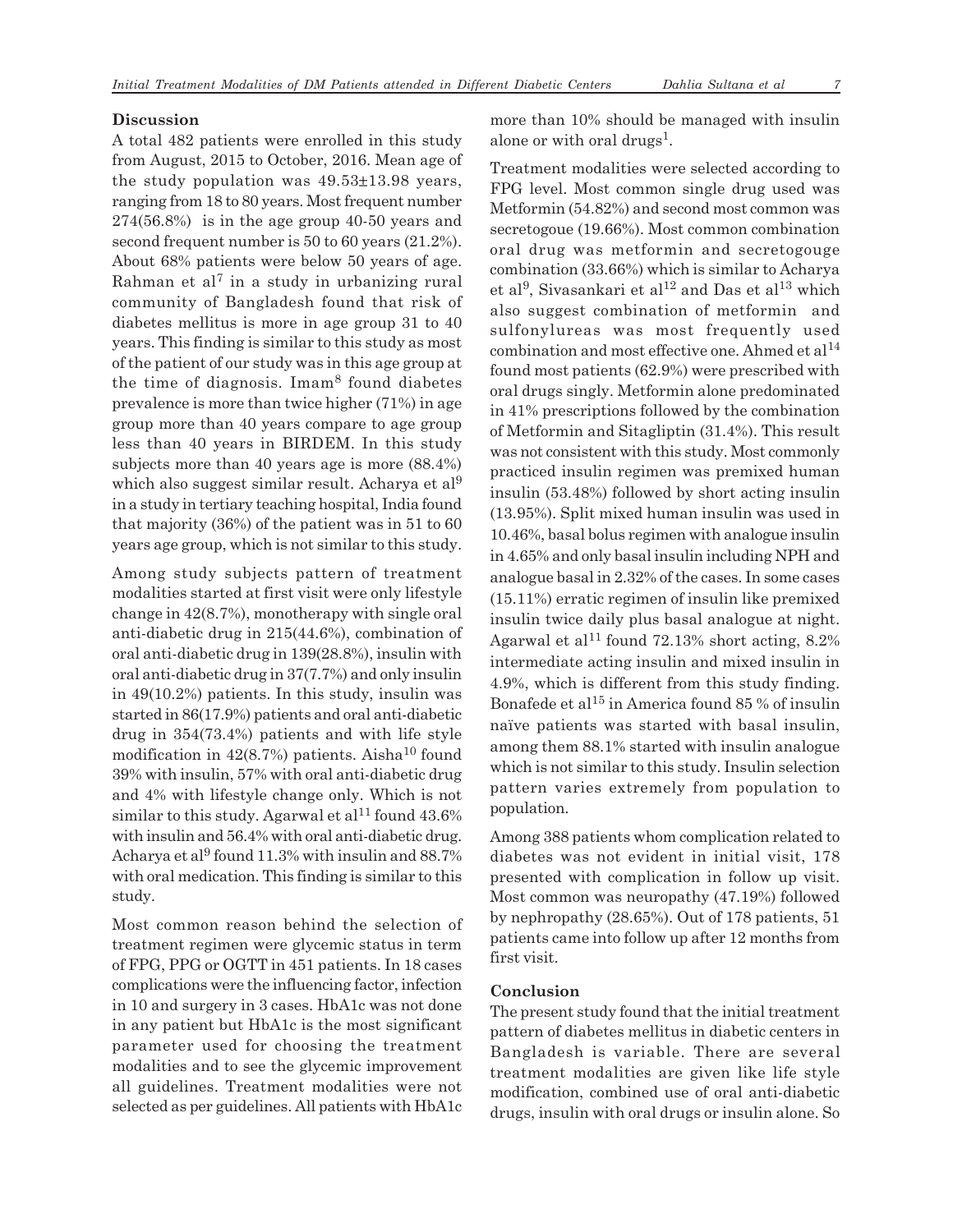# **Discussion**

A total 482 patients were enrolled in this study from August, 2015 to October, 2016. Mean age of the study population was 49.53±13.98 years, ranging from 18 to 80 years. Most frequent number 274(56.8%) is in the age group 40-50 years and second frequent number is 50 to 60 years (21.2%). About 68% patients were below 50 years of age.  $R$ ahman et al $<sup>7</sup>$  in a study in urbanizing rural</sup> community of Bangladesh found that risk of diabetes mellitus is more in age group 31 to 40 years. This finding is similar to this study as most of the patient of our study was in this age group at the time of diagnosis. Imam<sup>8</sup> found diabetes prevalence is more than twice higher (71%) in age group more than 40 years compare to age group less than 40 years in BIRDEM. In this study subjects more than 40 years age is more (88.4%) which also suggest similar result. Acharya et al<sup>9</sup> in a study in tertiary teaching hospital, India found that majority (36%) of the patient was in 51 to 60 years age group, which is not similar to this study.

Among study subjects pattern of treatment modalities started at first visit were only lifestyle change in 42(8.7%), monotherapy with single oral anti-diabetic drug in 215(44.6%), combination of oral anti-diabetic drug in 139(28.8%), insulin with oral anti-diabetic drug in 37(7.7%) and only insulin in 49(10.2%) patients. In this study, insulin was started in 86(17.9%) patients and oral anti-diabetic drug in 354(73.4%) patients and with life style modification in  $42(8.7%)$  patients. Aisha<sup>10</sup> found 39% with insulin, 57% with oral anti-diabetic drug and 4% with lifestyle change only. Which is not similar to this study. Agarwal et al<sup>11</sup> found  $43.6\%$ with insulin and 56.4% with oral anti-diabetic drug. Acharya et al $9$  found 11.3% with insulin and 88.7% with oral medication. This finding is similar to this study.

Most common reason behind the selection of treatment regimen were glycemic status in term of FPG, PPG or OGTT in 451 patients. In 18 cases complications were the influencing factor, infection in 10 and surgery in 3 cases. HbA1c was not done in any patient but HbA1c is the most significant parameter used for choosing the treatment modalities and to see the glycemic improvement all guidelines. Treatment modalities were not selected as per guidelines. All patients with HbA1c more than 10% should be managed with insulin alone or with oral drugs<sup>1</sup>.

Treatment modalities were selected according to FPG level. Most common single drug used was Metformin (54.82%) and second most common was secretogoue (19.66%). Most common combination oral drug was metformin and secretogouge combination (33.66%) which is similar to Acharya et al<sup>9</sup>, Sivasankari et al<sup>12</sup> and Das et al<sup>13</sup> which also suggest combination of metformin and sulfonylureas was most frequently used combination and most effective one. Ahmed et al<sup>14</sup> found most patients (62.9%) were prescribed with oral drugs singly. Metformin alone predominated in 41% prescriptions followed by the combination of Metformin and Sitagliptin (31.4%). This result was not consistent with this study. Most commonly practiced insulin regimen was premixed human insulin (53.48%) followed by short acting insulin (13.95%). Split mixed human insulin was used in 10.46%, basal bolus regimen with analogue insulin in 4.65% and only basal insulin including NPH and analogue basal in 2.32% of the cases. In some cases (15.11%) erratic regimen of insulin like premixed insulin twice daily plus basal analogue at night. Agarwal et al<sup>11</sup> found 72.13% short acting,  $8.2\%$ intermediate acting insulin and mixed insulin in 4.9%, which is different from this study finding. Bonafede et al<sup>15</sup> in America found 85 % of insulin naïve patients was started with basal insulin, among them 88.1% started with insulin analogue which is not similar to this study. Insulin selection pattern varies extremely from population to population.

Among 388 patients whom complication related to diabetes was not evident in initial visit, 178 presented with complication in follow up visit. Most common was neuropathy (47.19%) followed by nephropathy (28.65%). Out of 178 patients, 51 patients came into follow up after 12 months from first visit.

# **Conclusion**

The present study found that the initial treatment pattern of diabetes mellitus in diabetic centers in Bangladesh is variable. There are several treatment modalities are given like life style modification, combined use of oral anti-diabetic drugs, insulin with oral drugs or insulin alone. So